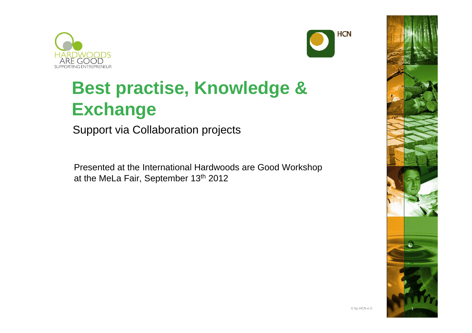



# **Best practise, Knowledge & Exchange**

Support via Collaboration projects

Presented at the International Hardwoods are Good Workshop at the MeLa Fair, September 13th 2012

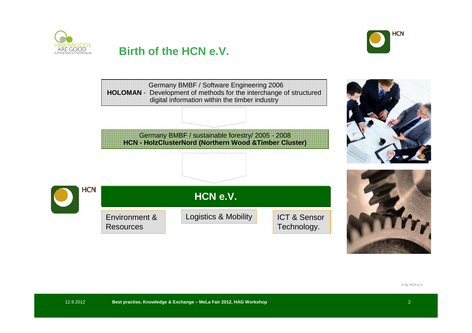

### **Birth of the HCN e.V.**



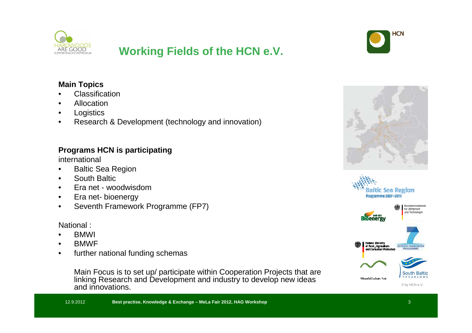

### **Working Fields of the HCN e.V.**



#### **Main Topics**

- **Classification** •
- •Allocation
- **Logistics** •
- Research & Development (technology and innovation)•

#### **Programs HCN is participating**

international

- •Baltic Sea Region
- •South Baltic
- Era net woodwisdom•
- •Era net- bioenergy
- Seventh Framework Programme (FP7)•

National :

- •BMWI
- •BMWF
- •further national funding schemas

Main Focus is to set up/ participate within Cooperation Projects that are linking Research and Development and industry to develop new ideas and innovations.





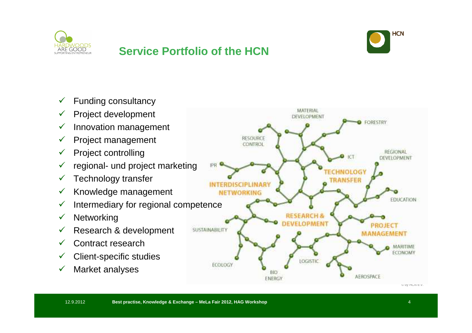

## **Service Portfolio of the HCN**



- $\checkmark$ Funding consultancy
- $\checkmark$ Project development
- $\checkmark$ Innovation management
- $\checkmark$ Project management
- $\checkmark$ Project controlling
- $\checkmark$ regional- und project marketing
- $\checkmark$ Technology transfer
- $\checkmark$ Knowledge management
- $\checkmark$ Intermediary for regional competence
- $\checkmark$ **Networking**
- $\checkmark$ Research & development
- $\checkmark$ Contract research
- $\checkmark$ Client-specific studies
- $\checkmark$ Market analyses

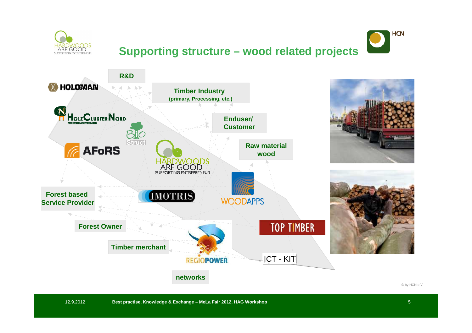

# **Supporting structure – wood related projects**



**HCN**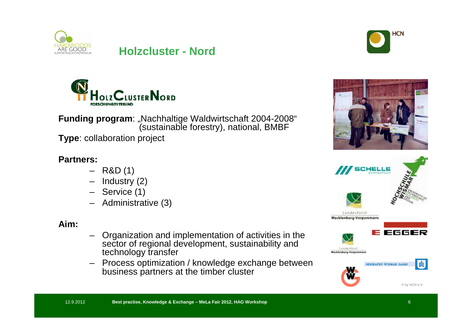

### **Holzcluster - Nord**





**Funding program**: "Nachhaltige Waldwirtschaft 2004-2008"(sustainable forestry), national, BMBF

**Type**: collaboration project

#### **Partners:**

- –R&D (1)
- Industry (2)
- Service (1)
- Administrative (3)

#### **Aim:**

- Organization and implementation of activities in the sector of regional development, sustainability and technology transfer
- – Process optimization / knowledge exchange between business partners at the timber cluster



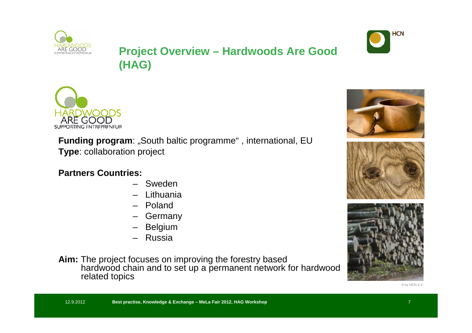

### **Project Overview – Hardwoods Are Good (HAG)**





**Funding program: "South baltic programme", international, EU Type**: collaboration project

#### **Partners Countries:**

- Sweden
- Lithuania
- Poland
- Germany
- Belgium
- Russia–

**Aim:** The project focuses on improving the forestry based hardwood chain and to set up a permanent network for hardwoodrelated topics





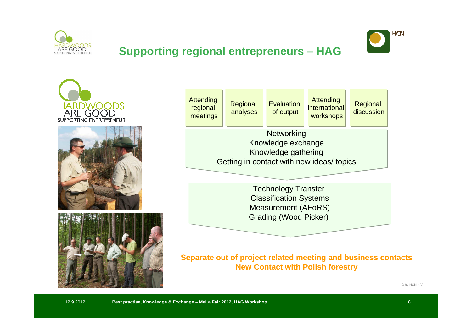

# **Supporting regional entrepreneurs – HAG**







#### **Separate out of project related meeting and business contactsNew Contact with Polish forestry**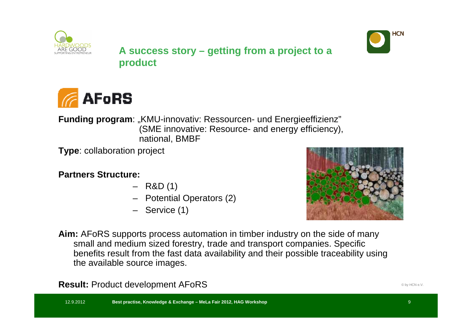



**A success story – getting from a project to a product**



**Funding program:** "KMU-innovativ: Ressourcen- und Energieeffizienz" (SME innovative: Resource- and energy efficiency), national, BMBF

**Type**: collaboration project

**Partners Structure:**

- R&D (1)
- Potential Operators (2)
- Service (1)



**Aim:** AFoRS supports process automation in timber industry on the side of many small and medium sized forestry, trade and transport companies. Specific benefits result from the fast data availability and their possible traceability using the available source images.

**Result:** Product development AFoRS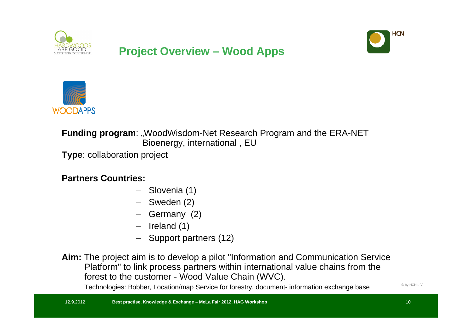

### **Project Overview – Wood Apps**





**Funding program:** "WoodWisdom-Net Research Program and the ERA-NET Bioenergy, international , EU

**Type**: collaboration project

**Partners Countries:**

- Slovenia (1)
- Sweden (2)
- Germany (2)
- Ireland (1)
- Support partners (12)
- **Aim:** The project aim is to develop a pilot "Information and Communication ServicePlatform" to link process partners within international value chains from theforest to the customer - Wood Value Chain (WVC).

Technologies: Bobber, Location/map Service for forestry, document- information exchange base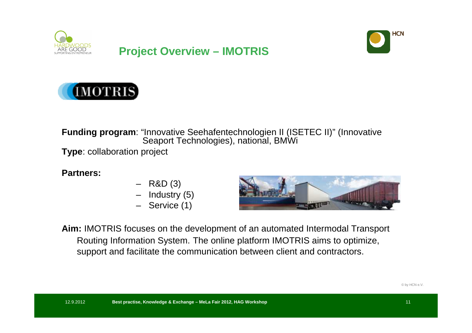

### **Project Overview – IMOTRIS**





**Funding program**: "Innovative Seehafentechnologien II (ISETEC II)" (Innovative Seaport Technologies), national, BMWi**Type**: collaboration project

#### **Partners:**

- –R&D (3)
- Industry (5)–
- Service (1)–



**Aim:** IMOTRIS focuses on the development of an automated Intermodal Transport Routing Information System. The online platform IMOTRIS aims to optimize, support and facilitate the communication between client and contractors.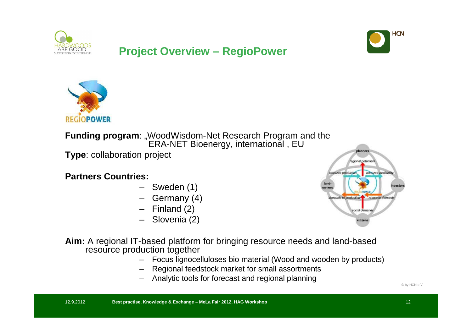

### **Project Overview – RegioPower**





**Funding program:** "WoodWisdom-Net Research Program and the ERA-NET Bioenergy, international , EU

**Type**: collaboration project

**Partners Countries:**

- –Sweden (1)
- –Germany (4)
- –Finland (2)
- Slovenia (2)



**Aim:** A regional IT-based platform for bringing resource needs and land-basedresource production together

- Focus lignocelluloses bio material (Wood and wooden by products)
- Regional feedstock market for small assortments
- Analytic tools for forecast and regional planning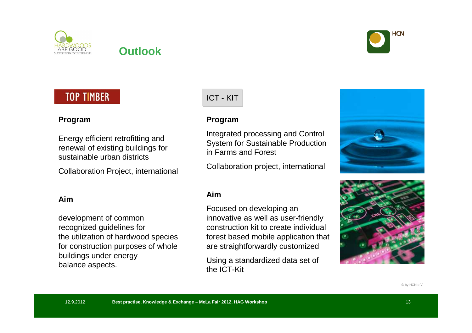

### **Outlook**

### **TOP TIMBER**



Energy efficient retrofitting and renewal of existing buildings forsustainable urban districts

Collaboration Project, international

#### **Aim**

development of common recognized guidelines for the utilization of hardwood species for construction purposes of whole buildings under energybalance aspects.



#### **Program**

 Integrated processing and Control System for Sustainable Production in Farms and Forest

Collaboration project, international

#### **Aim**

 Focused on developing an innovative as well as user-friendly construction kit to create individual forest based mobile application that are straightforwardly customized

Using a standardized data set of the ICT-Kit





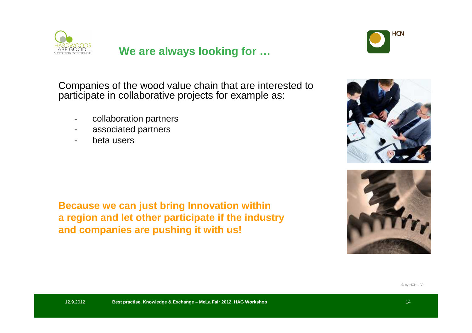

**We are always looking for …**



Companies of the wood value chain that are interested to participate in collaborative projects for example as:

- collaboration partners
- associated partners
- beta users

**Because we can just bring Innovation within a region and let other participate if the industry and companies are pushing it with us!** 



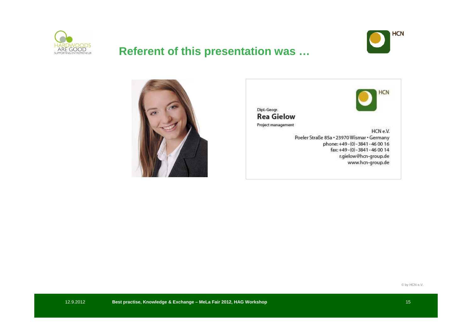

### **Referent of this presentation was …**





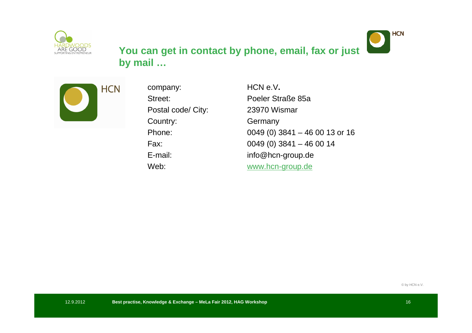

## **You can get in contact by phone, email, fax or justby mail …**



company: HCN e.V**.** Street: Poeler Straße 85aPostal code/ City: 23970 WismarCountry: Germany Phone: 0049 (0) 3841 – 46 00 13 or 16Fax: 0049 (0) 3841 – 46 00 14 E-mail: info@hcn-group.de www.hcn-group.deWeb:

**HCN**